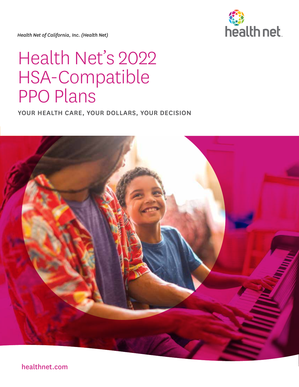

*Health Net of California, Inc. (Health Net)*

# Health Net's 2022 HSA-Compatible PPO Plans

YOUR HEALTH CARE, YOUR DOLLARS, YOUR DECISION



[healthnet.com](https://www.healthnet.com/)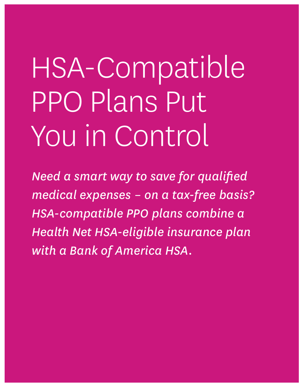# HSA-Compatible PPO Plans Put You in Control

*Need a smart way to save for qualified medical expenses – on a tax-free basis? HSA-compatible PPO plans combine a Health Net HSA-eligible insurance plan with a Bank of America HSA.*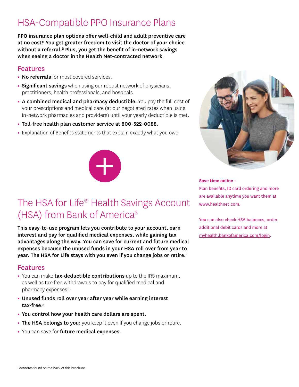### HSA-Compatible PPO Insurance Plans

PPO insurance plan options offer well-child and adult preventive care at no cost!<sup>1</sup> You get greater freedom to visit the doctor of your choice without a referral.<sup>2</sup> Plus, you get the benefit of in-network savings when seeing a doctor in the Health Net-contracted network.

### Features

- **•** No referrals for most covered services.
- **Significant savings** when using our robust network of physicians, practitioners, health professionals, and hospitals.
- **•** A combined medical and pharmacy deductible. You pay the full cost of your prescriptions and medical care (at our negotiated rates when using in-network pharmacies and providers) until your yearly deductible is met.
- **•** Toll-free health plan customer service at 800-522-0088.
- **•** Explanation of Benefits statements that explain exactly what you owe.



### The HSA for Life<sup>®</sup> Health Savings Account (HSA) from Bank of America<sup>3</sup>

This easy-to-use program lets you contribute to your account, earn interest and pay for qualified medical expenses, while gaining tax advantages along the way. You can save for current and future medical expenses because the unused funds in your HSA roll over from year to year. The HSA for Life stays with you even if you change jobs or retire.<sup>4</sup>

### Features

- **•** You can make tax-deductible contributions up to the IRS maximum, as well as tax-free withdrawals to pay for qualified medical and pharmacy expenses.5
- **•** Unused funds roll over year after year while earning interest tax-free.5
- **•** You control how your health care dollars are spent.
- The HSA belongs to you; you keep it even if you change jobs or retire.
- **•** You can save for future medical expenses.



### **Save time online –**

Plan benefits, ID card ordering and more are available anytime you want them at [www.healthnet.com.](https://www.healthnet.com/)

You can also check HSA balances, order additional debit cards and more at [myhealth.bankofamerica.com/login.](http://myhealth.bankofamerica.com/login)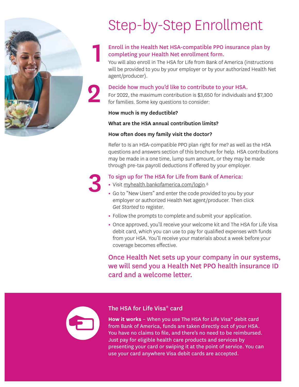

### Step-by-Step Enrollment

### Enroll in the Health Net HSA-compatible PPO insurance plan by completing your Health Net enrollment form.

You will also enroll in The HSA for Life from Bank of America (instructions will be provided to you by your employer or by your authorized Health Net agent/producer).

**2 Decide how much you'd like to contribute to your HSA.**<br>For 2022, the maximum contribution is \$3,650 for individuals a For 2022, the maximum contribution is \$3,650 for individuals and \$7,300 for families. Some key questions to consider:

### How much is my deductible?

### What are the HSA annual contribution limits?

### How often does my family visit the doctor?

Refer to Is an HSA-compatible PPO plan right for me? as well as the HSA questions and answers section of this brochure for help. HSA contributions may be made in a one time, lump sum amount, or they may be made through pre-tax payroll deductions if offered by your employer.

- **•** Visit [myhealth.bankofamerica.com/login.](http://www.myhealth.bankofamerica.com/login)6
- **13 To sign up for The HSA for Life from Bank of America:**<br>• Visit myhealth.bankofamerica.com/login.<sup>6</sup><br>• Go to "New Users" and enter the code provided to you by your employer or authorized Health Net agent/producer. Then click *Get Started* to register.
	- **•** Follow the prompts to complete and submit your application.
	- **•** Once approved, you'll receive your welcome kit and The HSA for Life Visa debit card, which you can use to pay for qualified expenses with funds from your HSA. You'll receive your materials about a week before your coverage becomes effective.

Once Health Net sets up your company in our systems, we will send you a Health Net PPO health insurance ID card and a welcome letter.



### The HSA for Life Visa® card

**How it works** – When you use The HSA for Life Visa® debit card from Bank of America, funds are taken directly out of your HSA. You have no claims to file, and there's no need to be reimbursed. Just pay for eligible health care products and services by presenting your card or swiping it at the point of service. You can use your card anywhere Visa debit cards are accepted.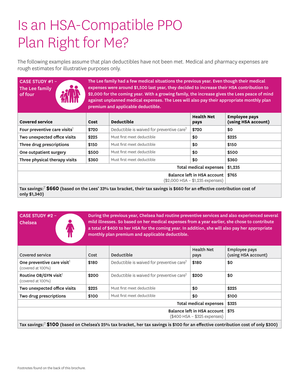### Is an HSA-Compatible PPO Plan Right for Me?

The following examples assume that plan deductibles have not been met. Medical and pharmacy expenses are rough estimates for illustrative purposes only.

| <b>CASE STUDY #1-</b><br>The Lee family<br>of four | The Lee family had a few medical situations the previous year. Even though their medical<br>expenses were around \$1,500 last year, they decided to increase their HSA contribution to<br>\$2,000 for the coming year. With a growing family, the increase gives the Lees peace of mind<br>against unplanned medical expenses. The Lees will also pay their appropriate monthly plan<br>premium and applicable deductible. |                                                       |                           |                                             |  |
|----------------------------------------------------|----------------------------------------------------------------------------------------------------------------------------------------------------------------------------------------------------------------------------------------------------------------------------------------------------------------------------------------------------------------------------------------------------------------------------|-------------------------------------------------------|---------------------------|---------------------------------------------|--|
| <b>Covered service</b>                             | Cost                                                                                                                                                                                                                                                                                                                                                                                                                       | <b>Deductible</b>                                     | <b>Health Net</b><br>pays | <b>Employee pays</b><br>(using HSA account) |  |
| Four preventive care visits <sup>1</sup>           | \$720                                                                                                                                                                                                                                                                                                                                                                                                                      | Deductible is waived for preventive care <sup>1</sup> | \$720                     | \$0                                         |  |
| Two unexpected office visits                       | \$225                                                                                                                                                                                                                                                                                                                                                                                                                      | Must first meet deductible                            | \$0                       | \$225                                       |  |
| Three drug prescriptions                           | \$150                                                                                                                                                                                                                                                                                                                                                                                                                      | Must first meet deductible                            | \$0                       | \$150                                       |  |
| One outpatient surgery                             | \$500                                                                                                                                                                                                                                                                                                                                                                                                                      | Must first meet deductible                            | \$0                       | \$500                                       |  |
| Three physical therapy visits                      | \$360                                                                                                                                                                                                                                                                                                                                                                                                                      | Must first meet deductible                            | \$0                       | \$360                                       |  |
|                                                    | \$1,235                                                                                                                                                                                                                                                                                                                                                                                                                    |                                                       |                           |                                             |  |
|                                                    | \$765                                                                                                                                                                                                                                                                                                                                                                                                                      |                                                       |                           |                                             |  |

During the previous year, Chelsea had routine preventive services and also experienced several mild illnesses. So based on her medical expenses from a year earlier, she chose to contribute a total of \$400 to her HSA for the coming year. In addition, she will also pay her appropriate monthly plan premium and applicable deductible.

| Covered service                                                                                                                            | Cost                                | Deductible                                            | <b>Health Net</b><br>pays | Employee pays<br>(using HSA account) |  |  |
|--------------------------------------------------------------------------------------------------------------------------------------------|-------------------------------------|-------------------------------------------------------|---------------------------|--------------------------------------|--|--|
| One preventive care visit <sup>1</sup><br>(covered at 100%)                                                                                | \$180                               | Deductible is waived for preventive care <sup>1</sup> | \$180                     | \$0                                  |  |  |
| Routine OB/GYN visit <sup>1</sup><br>(covered at 100%)                                                                                     | \$200                               | Deductible is waived for preventive care <sup>1</sup> | \$200                     | \$0                                  |  |  |
| Two unexpected office visits                                                                                                               | \$225                               | Must first meet deductible                            | \$0                       | \$225                                |  |  |
| Two drug prescriptions                                                                                                                     | \$100                               | Must first meet deductible                            | \$0                       | \$100                                |  |  |
|                                                                                                                                            | Total medical expenses  <br>\$325   |                                                       |                           |                                      |  |  |
|                                                                                                                                            | Balance left in HSA account<br>\$75 |                                                       |                           |                                      |  |  |
| Invention of <b>CIOO</b> (headed an Chalgas's REM, tax breaket, har tax covings is \$100 for an effective contribution sect of only \$200) |                                     |                                                       |                           |                                      |  |  |

Tax savings:<sup>7</sup> **\$100** (based on Chelsea's 25% tax bracket, her tax savings is \$100 for an effective contribution cost of only \$300)

CASE STUDY #2 –

Chelsea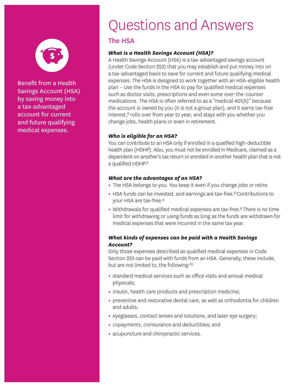

Benefit from a Health Savings Account (HSA) by saving money into a tax-advantaged account for current and future qualifying medical expenses.

### Questions and Answers

### The HSA

### *What is a Health Savings Account (HSA)?*

A Health Savings Account (HSA) is a tax-advantaged savings account (under Code Section 223) that you may establish and put money into on a tax-advantaged basis to save for current and future qualifying medical expenses. The HSA is designed to work together with an HSA-eligible health plan – Use the funds in the HSA to pay for qualified medical expenses such as doctor visits, prescriptions and even some over-the-counter medications. The HSA is often referred to as a "medical 401(k)" because the account is owned by you (it is not a group plan), and it earns tax-free interest,<sup>8</sup> rolls over from year to year, and stays with you whether you change jobs, health plans or even in retirement.

### *Who is eligible for an HSA?*

You can contribute to an HSA only if enrolled in a qualified high-deductible health plan (HDHP). Also, you must not be enrolled in Medicare, claimed as a dependent on another's tax return or enrolled in another health plan that is not a qualified HDHP.<sup>9</sup>

### *What are the advantages of an HSA?*

- **•** The HSA belongs to you. You keep it even if you change jobs or retire.
- HSA funds can be invested, and earnings are tax-free.<sup>8</sup> Contributions to your HSA are tax-free.8
- Withdrawals for qualified medical expenses are tax-free.<sup>8</sup> There is no time limit for withdrawing or using funds as long as the funds are withdrawn for medical expenses that were incurred in the same tax year.

### *What kinds of expenses can be paid with a Health Savings Account?*

Only those expenses described as qualified medical expenses in Code Section 223 can be paid with funds from an HSA. Generally, these include, but are not limited to, the following:<sup>10</sup>

- **•** standard medical services such as office visits and annual medical physicals;
- **•** insulin, health care products and prescription medicine;
- **•** preventive and restorative dental care, as well as orthodontia for children and adults;
- **•** eyeglasses, contact lenses and solutions, and laser eye surgery;
- **•** copayments, coinsurance and deductibles; and
- **•** acupuncture and chiropractic services.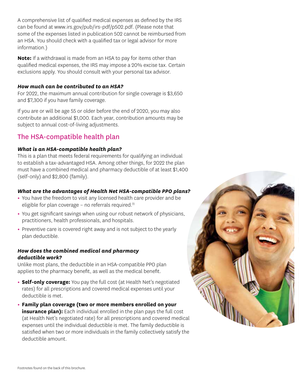A comprehensive list of qualified medical expenses as defined by the IRS can be found at [www.irs.gov/pub/irs-pdf/p502.pdf.](https://www.irs.gov/pub/irs-pdf/p502.pdf) (Please note that some of the expenses listed in publication 502 cannot be reimbursed from an HSA. You should check with a qualified tax or legal advisor for more information.)

**Note:** If a withdrawal is made from an HSA to pay for items other than qualified medical expenses, the IRS may impose a 20% excise tax. Certain exclusions apply. You should consult with your personal tax advisor.

### *How much can be contributed to an HSA?*

For 2022, the maximum annual contribution for single coverage is \$3,650 and \$7,300 if you have family coverage.

If you are or will be age 55 or older before the end of 2020, you may also contribute an additional \$1,000. Each year, contribution amounts may be subject to annual cost-of-living adjustments.

### The HSA-compatible health plan

### *What is an HSA-compatible health plan?*

This is a plan that meets federal requirements for qualifying an individual to establish a tax-advantaged HSA. Among other things, for 2022 the plan must have a combined medical and pharmacy deductible of at least \$1,400 (self-only) and \$2,800 (family).

### *What are the advantages of Health Net HSA-compatible PPO plans?*

- **•** You have the freedom to visit any licensed health care provider and be eligible for plan coverage – no referrals required.<sup>11</sup>
- **•** You get significant savings when using our robust network of physicians, practitioners, health professionals, and hospitals.
- **•** Preventive care is covered right away and is not subject to the yearly plan deductible.

### *How does the combined medical and pharmacy deductible work?*

Unlike most plans, the deductible in an HSA-compatible PPO plan applies to the pharmacy benefit, as well as the medical benefit.

- **Self-only coverage:** You pay the full cost (at Health Net's negotiated rates) for all prescriptions and covered medical expenses until your deductible is met.
- **Family plan coverage (two or more members enrolled on your insurance plan):** Each individual enrolled in the plan pays the full cost (at Health Net's negotiated rate) for all prescriptions and covered medical expenses until the individual deductible is met. The family deductible is satisfied when two or more individuals in the family collectively satisfy the deductible amount.

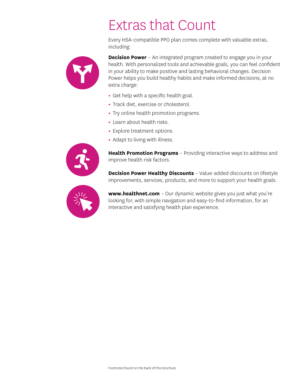### Extras that Count

Every HSA-compatible PPO plan comes complete with valuable extras, including:



**Decision Power** - An integrated program created to engage you in your health. With personalized tools and achievable goals, you can feel confident in your ability to make positive and lasting behavioral changes. Decision Power helps you build healthy habits and make informed decisions, at no extra charge:

- **•** Get help with a specific health goal.
- **•** Track diet, exercise or cholesterol.
- **•** Try online health promotion programs.
- **•** Learn about health risks.
- **•** Explore treatment options.
- **•** Adapt to living with illness.



**Health Promotion Programs** – Providing interactive ways to address and improve health risk factors.

**Decision Power Healthy Discounts** – Value-added discounts on lifestyle improvements, services, products, and more to support your health goals.



[www.healthnet.com](https://www.healthnet.com/) - Our dynamic website gives you just what you're looking for, with simple navigation and easy-to-find information, for an interactive and satisfying health plan experience.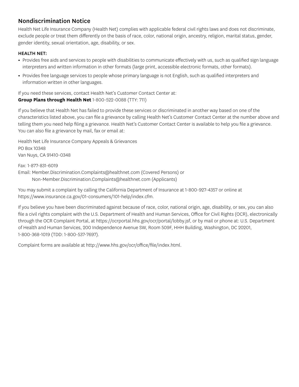### Nondiscrimination Notice

Health Net Life Insurance Company (Health Net) complies with applicable federal civil rights laws and does not discriminate, exclude people or treat them differently on the basis of race, color, national origin, ancestry, religion, marital status, gender, gender identity, sexual orientation, age, disability, or sex.

### HEALTH NET:

- **•** Provides free aids and services to people with disabilities to communicate effectively with us, such as qualified sign language interpreters and written information in other formats (large print, accessible electronic formats, other formats).
- **•** Provides free language services to people whose primary language is not English, such as qualified interpreters and information written in other languages.

If you need these services, contact Health Net's Customer Contact Center at: **Group Plans through Health Net** 1-800-522-0088 (TTY: 711)

If you believe that Health Net has failed to provide these services or discriminated in another way based on one of the characteristics listed above, you can file a grievance by calling Health Net's Customer Contact Center at the number above and telling them you need help filing a grievance. Health Net's Customer Contact Center is available to help you file a grievance. You can also file a grievance by mail, fax or email at:

Health Net Life Insurance Company Appeals & Grievances PO Box 10348 Van Nuys, CA 91410-0348

Fax: 1-877-831-6019 Email: [Member.Discrimination.Complaints@healthnet.com](mailto:Member.Discrimination.Complaints@healthnet.com) (Covered Persons) or [Non-Member.Discrimination.Complaints@healthnet.com](mailto:Non-Member.Discrimination.Complaints@healthnet.com) (Applicants)

You may submit a complaint by calling the California Department of Insurance at 1-800-927-4357 or online at <https://www.insurance.ca.gov/01-consumers/101-help/index.cfm>.

If you believe you have been discriminated against because of race, color, national origin, age, disability, or sex, you can also file a civil rights complaint with the U.S. Department of Health and Human Services, Office for Civil Rights (OCR), electronically through the OCR Complaint Portal, at [https://ocrportal.hhs.gov/ocr/portal/lobby.jsf,](https://ocrportal.hhs.gov/ocr/portal/lobby.jsf) or by mail or phone at: U.S. Department of Health and Human Services, 200 Independence Avenue SW, Room 509F, HHH Building, Washington, DC 20201, 1-800-368-1019 (TDD: 1-800-537-7697).

Complaint forms are available at [http://www.hhs.gov/ocr/office/file/index.html.](https://www.hhs.gov/ocr/office/file/index.html)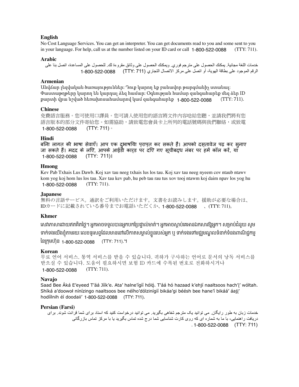### **English**

No Cost Language Services. You can get an interpreter. You can get documents read to you and some sent to you in your language. For help, call us at the number listed on your ID card or call 1-800-522-0088 (TTY: 711).

### **Arabic**

خدمات اللغة مجانية. يمكنك الحصول على مترجم فوري. ويمكنك الحصول على وثائق مقروءة لك. للحصول على المساعدة، اتصل بنا على الرقم الموجود على بطاقة الهوية، أو اتصل على مركز االتصال التجاري (711 :TTY (1-800-522-0088

### **Armenian**

Անվճար լեզվական ծառայություններ: Դուք կարող եք բանավոր թարգմանիչ ստանալ: Փաստաթղթերը կարող են կարդալ ձեզ համար: Օգնության համար զանգահարեք մեզ ձեր ID քարտի վրա նշված հեռախոսահամարով կամ զանգահարեք 1-800-522-0088 (TTY: 711).

#### **Chinese**

免費語言服務。您可使用口譯員。您可請人使用您的語言將文件內容唸給您聽,並請我們將有您 語言版本的部分文件寄給您。如需協助,請致電您會員卡上所列的電話號碼與我們聯絡,或致電 (TTY: 711)。 1-800-522-0088

### **Hindi**

बिना लागत की भाषा सेवाएँ। आप एक दुभाषिया प्राप्त कर सकते हैं। आपको दस्तावेज पढ़ कर सुनाए जा सकते हैं। मदद के लिए, आपके आईडी कार्ड पर दिए गए सूचीबद्ध नंबर पर हमें कॉल करें, या (TTY: 711)। 1-800-522-0088

### **Hmong**

Kev Pab Txhais Lus Dawb. Koj xav tau neeg txhais lus los tau. Koj xav tau neeg nyeem cov ntaub ntawv kom yog koj hom lus los tau. Xav tau kev pab, hu peb tau rau tus xov tooj ntawm koj daim npav los yog hu (TTY: 711). 1-800-522-0088

#### **Japanese**

無料の言語サービス。通訳をご利用いただけます。文書をお読みします。援助が必要な場合は、 IDカードに記載されている番号までお電話いただくか、**1-800-522-0088** 、(TTY: 711)。

### **Khmer**

សេវាភាសាដោយឥតគតថ្លេ។ អ្នកអាចទទួលបានអ្នកបកប្រេផ្ទាលមាត។ អ្នកអាចស្តាប់គេអានឯកសារឱ្យអ្នក។ សម្រាបជំនួយ សូម ទាក់ទងយេងខ្ញុំតាមរយៈលេខទូរសព្ទដេលមាននោលេកាតសម្គាលខ្លួនរបស់អ្នក ឬ ទាក់ទងទោមជ្ឈមណ្ឌលទនាក់ទនងពាណិជ្ជកម្ម នេក្រុមហុន <sub>1-800-522-0088</sub> (TTY: 711).។

#### **Korean**

```
무료 언어 서비스. 통역 서비스를 받을 수 있습니다. 귀하가 구사하는 언어로 문서의 낭독 서비스를 
받으실 수 있습니다. 도움이 필요하시면 보험 ID 카드에 수록된 번호로 전화하시거나 
           (TTY: 711).
1-800-522-0088
```
#### **Navajo**

Saad Bee Áká E'eyeed T'áá Jíík'e. Ata' halne'ígíí hóló. T'áá hó hazaad k'ehjí naaltsoos hach'j' wóltah. Shíká a'doowoł nínízingo naaltsoos bee néího'dólzinígíí bikáa'gi béésh bee hane'í bikáá' áajj' hodíílnih éí doodaii' 1-800-522-0088 (TTY: 711).

#### **Persian (Farsi)**

خدمات زبان به طور رايگان. می توانيد يک مترجم شفاهی بگيريد. می توانيد درخواست کنيد که اسناد برای شما قرائت شوند. برای در يافت راهنمايي، با ما به شماره اي كه روي كارت شناسايي شما درج شده تماس بگيريد يا با مركز تماس بازرگاني . (TTY: 711) 1-800-522-0088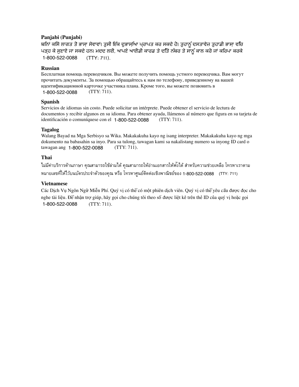### **Panjabi (Punjabi)**

ਬਿਨਾਂ ਕਿਸੇ ਲਾਗਤ ਤੋਂ ਭਾਸ਼ਾ ਸੇਵਾਵਾਂ। ਤੁਸੀਂ ਇੱਕ ਦੁਭਾਸ਼ਿਆ ਪ੍ਰਾਪਤ ਕਰ ਸਕਦੇ ਹੋ। ਤੁਹਾਨੂੰ ਦਸਤਾਵੇਜ਼ ਤੁਹਾਡੀ ਭਾਸ਼ਾ ਵਿੱਚ ਪੜ੍ਹ ਕੇ ਸੁਣਾਏ ਜਾ ਸਕਦੇ ਹਨ। ਮਦਦ ਲਈ, ਆਪਣੇ ਆਈਡੀ ਕਾਰਡ ਤੇ ਦਿੱਤੇ ਨੰਬਰ ਤੇ ਸਾਨੂੰ ਕਾਲ ਕਰੋ ਜਾਂ ਕਿਰਪਾ ਕਰਕੇ (TTY: 711). 1-800-522-0088

### **Russian**

Бесплатная помощь переводчиков. Вы можете получить помощь устного переводчика. Вам могут прочитать документы. За помощью обращайтесь к нам по телефону, приведенному на вашей идентификационной карточке участника плана. Кроме того, вы можете позвонить в 1-800-522-0088 (TTY: 711).

### **Spanish**

Servicios de idiomas sin costo. Puede solicitar un intérprete. Puede obtener el servicio de lectura de documentos y recibir algunos en su idioma. Para obtener ayuda, llámenos al número que figura en su tarjeta de identificación o comuníquese con el 1-800-522-0088 (TTY: 711).

### **Tagalog**

Walang Bayad na Mga Serbisyo sa Wika. Makakakuha kayo ng isang interpreter. Makakakuha kayo ng mga dokumento na babasahin sa inyo. Para sa tulong, tawagan kami sa nakalistang numero sa inyong ID card o tawagan ang 1-800-522-0088 (TTY: 711).

### **Thai**

ไม่มีค่าบริการด้านภาษา คุณสามารถใช้ล่ามได้ คุณสามารถให้อ่านเอกสารให้ฟง้ได้ สำหรับความช่วยเหลือ โทรหาเราตาม หมายเลขที่ให้ไว้บนบัตรประจำตัวของคุณ หรือ โทรหาศูนย์ติดต่อเชิงพาณิชย์ของ 1-800-522-0088 (TTY: 711)

### **Vietnamese**

Các Dịch Vụ Ngôn Ngữ Miễn Phí. Quý vị có thể có một phiên dịch viên. Quý vị có thể yêu cầu được đọc cho nghe tài liệu. Để nhận trợ giúp, hãy gọi cho chúng tôi theo số được liệt kê trên thẻ ID của quý vị hoặc gọi 1-800-522-0088 (TTY: 711).